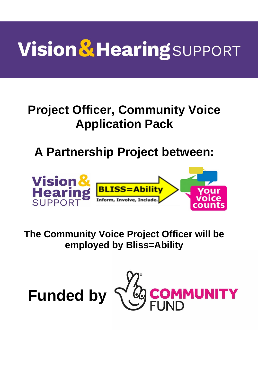# **Vision & Hearing SUPPORT**

# **Project Officer, Community Voice Application Pack**

# **A Partnership Project between:**



### **The Community Voice Project Officer will be employed by Bliss=Ability**



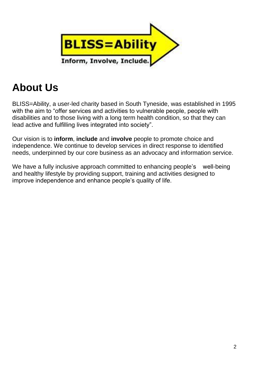

## **About Us**

BLISS=Ability, a user-led charity based in South Tyneside, was established in 1995 with the aim to "offer services and activities to vulnerable people, people with disabilities and to those living with a long term health condition, so that they can lead active and fulfilling lives integrated into society".

Our vision is to **inform**, **include** and **involve** people to promote choice and independence. We continue to develop services in direct response to identified needs, underpinned by our core business as an advocacy and information service.

We have a fully inclusive approach committed to enhancing people's well-being and healthy lifestyle by providing support, training and activities designed to improve independence and enhance people's quality of life.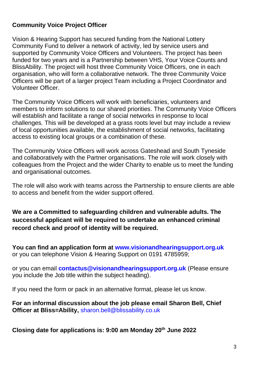#### **Community Voice Project Officer**

Vision & Hearing Support has secured funding from the National Lottery Community Fund to deliver a network of activity, led by service users and supported by Community Voice Officers and Volunteers. The project has been funded for two years and is a Partnership between VHS, Your Voice Counts and BlissAbility. The project will host three Community Voice Officers, one in each organisation, who will form a collaborative network. The three Community Voice Officers will be part of a larger project Team including a Project Coordinator and Volunteer Officer.

The Community Voice Officers will work with beneficiaries, volunteers and members to inform solutions to our shared priorities. The Community Voice Officers will establish and facilitate a range of social networks in response to local challenges. This will be developed at a grass roots level but may include a review of local opportunities available, the establishment of social networks, facilitating access to existing local groups or a combination of these.

The Community Voice Officers will work across Gateshead and South Tyneside and collaboratively with the Partner organisations. The role will work closely with colleagues from the Project and the wider Charity to enable us to meet the funding and organisational outcomes.

The role will also work with teams across the Partnership to ensure clients are able to access and benefit from the wider support offered.

**We are a Committed to safeguarding children and vulnerable adults. The successful applicant will be required to undertake an enhanced criminal record check and proof of identity will be required.**

**You can find an application form at [www.visionandhearingsupport.org.uk](http://www.visionandhearingsupport.org.uk/)** or you can telephone Vision & Hearing Support on 0191 4785959;

or you can email **[contactus@visionandhearingsupport.org.uk](mailto:contactus@visionandhearingsupport.org.uk)** (Please ensure you include the Job title within the subject heading).

If you need the form or pack in an alternative format, please let us know.

**For an informal discussion about the job please email Sharon Bell, Chief Officer at Bliss=Ability,** [sharon.bell@blissability.co.uk](mailto:sharon.bell@blissability.co.uk)

**Closing date for applications is: 9:00 am Monday 20th June 2022**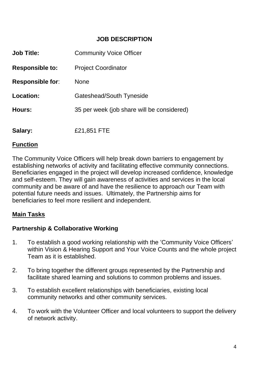#### **JOB DESCRIPTION**

| <b>Job Title:</b>       | <b>Community Voice Officer</b>             |
|-------------------------|--------------------------------------------|
| <b>Responsible to:</b>  | <b>Project Coordinator</b>                 |
| <b>Responsible for:</b> | <b>None</b>                                |
| Location:               | Gateshead/South Tyneside                   |
| Hours:                  | 35 per week (job share will be considered) |
| Salary:                 | £21,851 FTE                                |

#### **Function**

The Community Voice Officers will help break down barriers to engagement by establishing networks of activity and facilitating effective community connections. Beneficiaries engaged in the project will develop increased confidence, knowledge and self-esteem. They will gain awareness of activities and services in the local community and be aware of and have the resilience to approach our Team with potential future needs and issues. Ultimately, the Partnership aims for beneficiaries to feel more resilient and independent.

#### **Main Tasks**

#### **Partnership & Collaborative Working**

- 1. To establish a good working relationship with the 'Community Voice Officers' within Vision & Hearing Support and Your Voice Counts and the whole project Team as it is established.
- 2. To bring together the different groups represented by the Partnership and facilitate shared learning and solutions to common problems and issues.
- 3. To establish excellent relationships with beneficiaries, existing local community networks and other community services.
- 4. To work with the Volunteer Officer and local volunteers to support the delivery of network activity.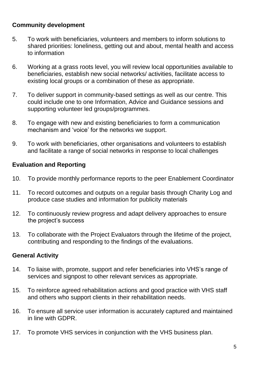#### **Community development**

- 5. To work with beneficiaries, volunteers and members to inform solutions to shared priorities: loneliness, getting out and about, mental health and access to information
- 6. Working at a grass roots level, you will review local opportunities available to beneficiaries, establish new social networks/ activities, facilitate access to existing local groups or a combination of these as appropriate.
- 7. To deliver support in community-based settings as well as our centre. This could include one to one Information, Advice and Guidance sessions and supporting volunteer led groups/programmes.
- 8. To engage with new and existing beneficiaries to form a communication mechanism and 'voice' for the networks we support.
- 9. To work with beneficiaries, other organisations and volunteers to establish and facilitate a range of social networks in response to local challenges

#### **Evaluation and Reporting**

- 10. To provide monthly performance reports to the peer Enablement Coordinator
- 11. To record outcomes and outputs on a regular basis through Charity Log and produce case studies and information for publicity materials
- 12. To continuously review progress and adapt delivery approaches to ensure the project's success
- 13. To collaborate with the Project Evaluators through the lifetime of the project, contributing and responding to the findings of the evaluations.

#### **General Activity**

- 14. To liaise with, promote, support and refer beneficiaries into VHS's range of services and signpost to other relevant services as appropriate.
- 15. To reinforce agreed rehabilitation actions and good practice with VHS staff and others who support clients in their rehabilitation needs.
- 16. To ensure all service user information is accurately captured and maintained in line with GDPR.
- 17. To promote VHS services in conjunction with the VHS business plan.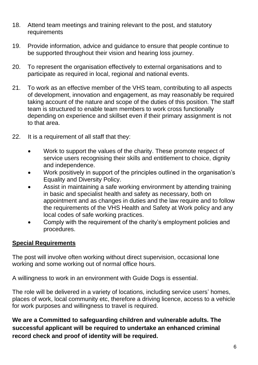- 18. Attend team meetings and training relevant to the post, and statutory requirements
- 19. Provide information, advice and guidance to ensure that people continue to be supported throughout their vision and hearing loss journey.
- 20. To represent the organisation effectively to external organisations and to participate as required in local, regional and national events.
- 21. To work as an effective member of the VHS team, contributing to all aspects of development, innovation and engagement, as may reasonably be required taking account of the nature and scope of the duties of this position. The staff team is structured to enable team members to work cross functionally depending on experience and skillset even if their primary assignment is not to that area.
- 22. It is a requirement of all staff that they:
	- Work to support the values of the charity. These promote respect of service users recognising their skills and entitlement to choice, dignity and independence.
	- Work positively in support of the principles outlined in the organisation's Equality and Diversity Policy.
	- Assist in maintaining a safe working environment by attending training in basic and specialist health and safety as necessary, both on appointment and as changes in duties and the law require and to follow the requirements of the VHS Health and Safety at Work policy and any local codes of safe working practices.
	- Comply with the requirement of the charity's employment policies and procedures.

#### **Special Requirements**

The post will involve often working without direct supervision, occasional lone working and some working out of normal office hours.

A willingness to work in an environment with Guide Dogs is essential.

The role will be delivered in a variety of locations, including service users' homes, places of work, local community etc, therefore a driving licence, access to a vehicle for work purposes and willingness to travel is required.

**We are a Committed to safeguarding children and vulnerable adults. The successful applicant will be required to undertake an enhanced criminal record check and proof of identity will be required.**